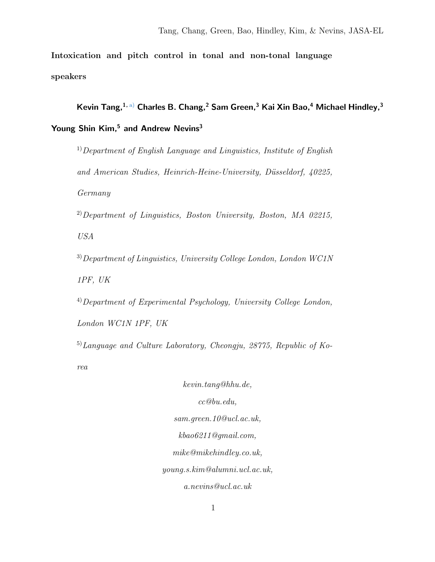Intoxication and pitch control in tonal and non-tonal language speakers

Kevin Tang,  $1, a)$  $1, a)$  Charles B. Chang,  $2$  Sam Green,  $3$  Kai Xin Bao,  $4$  Michael Hindley,  $3$ 

Young Shin Kim,<sup>5</sup> and Andrew Nevins<sup>3</sup>

 $1)$  Department of English Language and Linguistics, Institute of English and American Studies, Heinrich-Heine-University, Düsseldorf, 40225, Germany

 $^{2)}$ Department of Linguistics, Boston University, Boston, MA 02215,

USA

 $3)$ Department of Linguistics, University College London, London WC1N 1PF, UK

 $^{4)}$ Department of Experimental Psychology, University College London,

London WC1N 1PF, UK

 $^{5)}$ Language and Culture Laboratory, Cheongju, 28775, Republic of Ko-

rea

kevin.tang@hhu.de, cc@bu.edu, sam.green.10@ucl.ac.uk, kbao6211@gmail.com, mike@mikehindley.co.uk, young.s.kim@alumni.ucl.ac.uk, a.nevins@ucl.ac.uk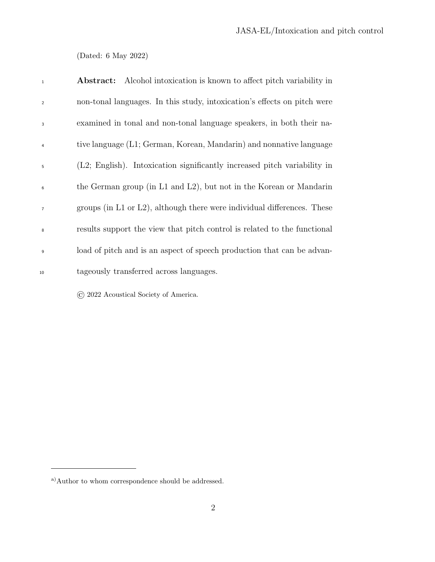(Dated: 6 May 2022)

| $\,$ 1 $\,$    | <b>Abstract:</b> Alcohol intoxication is known to affect pitch variability in |
|----------------|-------------------------------------------------------------------------------|
| $\overline{2}$ | non-tonal languages. In this study, intoxication's effects on pitch were      |
| $\overline{3}$ | examined in tonal and non-tonal language speakers, in both their na-          |
| $\overline{4}$ | tive language (L1; German, Korean, Mandarin) and nonnative language           |
| 5              | (L2; English). Intoxication significantly increased pitch variability in      |
| 6              | the German group (in L1 and L2), but not in the Korean or Mandarin            |
| $\overline{7}$ | groups (in L1 or L2), although there were individual differences. These       |
| 8              | results support the view that pitch control is related to the functional      |
| $\overline{9}$ | load of pitch and is an aspect of speech production that can be advan-        |
| 10             | tageously transferred across languages.                                       |

© 2022 Acoustical Society of America.

<span id="page-1-0"></span> $^{\rm a)}\text{Author}$  to whom correspondence should be addressed.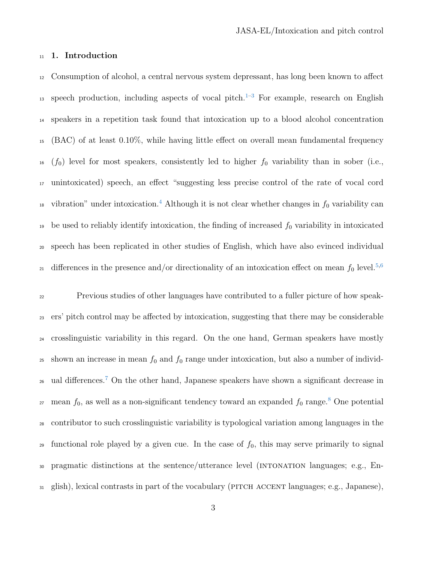# 11 1. Introduction

<sup>12</sup> Consumption of alcohol, a central nervous system depressant, has long been known to affect 1[3](#page-18-1) speech production, including aspects of vocal pitch.<sup>1-3</sup> For example, research on English <sup>14</sup> speakers in a repetition task found that intoxication up to a blood alcohol concentration <sup>15</sup> (BAC) of at least 0.10%, while having little effect on overall mean fundamental frequency  $16 \left(f_0\right)$  level for most speakers, consistently led to higher  $f_0$  variability than in sober (i.e., <sup>17</sup> unintoxicated) speech, an effect "suggesting less precise control of the rate of vocal cord <sup>18</sup> vibration" under intoxication.<sup>[4](#page-18-2)</sup> Although it is not clear whether changes in  $f_0$  variability can <sup>19</sup> be used to reliably identify intoxication, the finding of increased  $f_0$  variability in intoxicated <sup>20</sup> speech has been replicated in other studies of English, which have also evinced individual differences in the presence and/or directionality of an intoxication effect on mean  $f_0$  level.<sup>[5](#page-18-3)[,6](#page-18-4)</sup> 21

<sup>22</sup> Previous studies of other languages have contributed to a fuller picture of how speak-<sup>23</sup> ers' pitch control may be affected by intoxication, suggesting that there may be considerable <sup>24</sup> crosslinguistic variability in this regard. On the one hand, German speakers have mostly 25 shown an increase in mean  $f_0$  and  $f_0$  range under intoxication, but also a number of individ-<sup>26</sup> ual differences.<sup>[7](#page-18-5)</sup> On the other hand, Japanese speakers have shown a significant decrease in <sup>27</sup> mean  $f_0$ , as well as a non-significant tendency toward an expanded  $f_0$  range.<sup>[8](#page-18-6)</sup> One potential <sup>28</sup> contributor to such crosslinguistic variability is typological variation among languages in the <sup>29</sup> functional role played by a given cue. In the case of  $f_0$ , this may serve primarily to signal 30 pragmatic distinctions at the sentence/utterance level (INTONATION languages; e.g., En-<sup>31</sup> glish), lexical contrasts in part of the vocabulary (pitch accent languages; e.g., Japanese),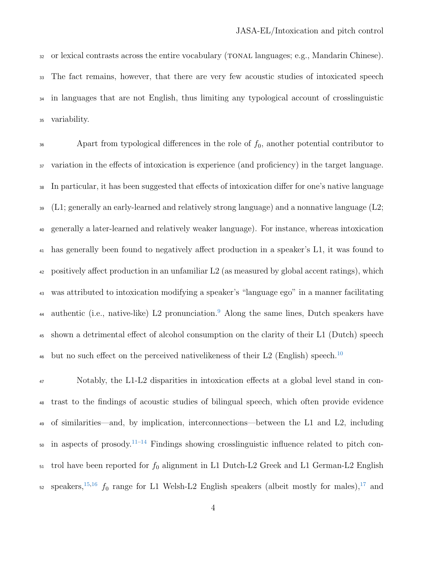32 or lexical contrasts across the entire vocabulary (TONAL languages; e.g., Mandarin Chinese). The fact remains, however, that there are very few acoustic studies of intoxicated speech <sup>34</sup> in languages that are not English, thus limiting any typological account of crosslinguistic variability.

 Apart from typological differences in the role of  $f_0$ , another potential contributor to variation in the effects of intoxication is experience (and proficiency) in the target language. In particular, it has been suggested that effects of intoxication differ for one's native language  $\mathcal{L}(L)$ ; generally an early-learned and relatively strong language) and a nonnative language (L2; generally a later-learned and relatively weaker language). For instance, whereas intoxication has generally been found to negatively affect production in a speaker's L1, it was found to positively affect production in an unfamiliar L2 (as measured by global accent ratings), which was attributed to intoxication modifying a speaker's "language ego" in a manner facilitating <sup>44</sup> authentic (i.e., native-like) L2 pronunciation.<sup>[9](#page-19-0)</sup> Along the same lines, Dutch speakers have shown a detrimental effect of alcohol consumption on the clarity of their L1 (Dutch) speech but no such effect on the perceived nativelikeness of their L2 (English) speech.<sup>[10](#page-19-1)</sup> 

 Notably, the L1-L2 disparities in intoxication effects at a global level stand in con- trast to the findings of acoustic studies of bilingual speech, which often provide evidence of similarities—and, by implication, interconnections—between the L1 and L2, including  $\omega$  in aspects of prosody.<sup>[11](#page-19-2)[–14](#page-19-3)</sup> Findings showing crosslinguistic influence related to pitch con- trol have been reported for  $f_0$  alignment in L1 Dutch-L2 Greek and L1 German-L2 English s2 speakers,<sup>[15](#page-20-0)[,16](#page-20-1)</sup>  $f_0$  range for L1 Welsh-L2 English speakers (albeit mostly for males),<sup>[17](#page-20-2)</sup> and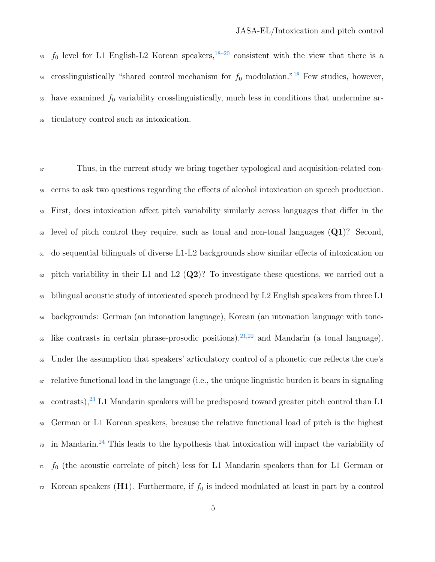$53 \text{ } f_0$  level for L1 English-L2 Korean speakers,  $18-20$  $18-20$  consistent with the view that there is a  $\frac{1}{54}$  crosslinguistically "shared control mechanism for  $f_0$  modulation."<sup>[18](#page-20-3)</sup> Few studies, however,  $55$  have examined  $f_0$  variability crosslinguistically, much less in conditions that undermine ar-<sup>56</sup> ticulatory control such as intoxication.

<sup>57</sup> Thus, in the current study we bring together typological and acquisition-related con-<sup>58</sup> cerns to ask two questions regarding the effects of alcohol intoxication on speech production. <sup>59</sup> First, does intoxication affect pitch variability similarly across languages that differ in the  $\omega$  level of pitch control they require, such as tonal and non-tonal languages  $(Q1)$ ? Second, <sup>61</sup> do sequential bilinguals of diverse L1-L2 backgrounds show similar effects of intoxication on  $\epsilon_2$  pitch variability in their L1 and L2 (Q2)? To investigate these questions, we carried out a <sup>63</sup> bilingual acoustic study of intoxicated speech produced by L2 English speakers from three L1 <sup>64</sup> backgrounds: German (an intonation language), Korean (an intonation language with tone-<sup>65</sup> like contrasts in certain phrase-prosodic positions),  $2^{1,22}$  $2^{1,22}$  $2^{1,22}$  and Mandarin (a tonal language). <sup>66</sup> Under the assumption that speakers' articulatory control of a phonetic cue reflects the cue's  $\sigma$  relative functional load in the language (i.e., the unique linguistic burden it bears in signaling  $\epsilon_{\text{68}}$  contrasts),<sup>[23](#page-21-0)</sup> L1 Mandarin speakers will be predisposed toward greater pitch control than L1 <sup>69</sup> German or L1 Korean speakers, because the relative functional load of pitch is the highest  $\sigma$  in Mandarin.<sup>[24](#page-21-1)</sup> This leads to the hypothesis that intoxication will impact the variability of  $\tau_1$  f<sub>0</sub> (the acoustic correlate of pitch) less for L1 Mandarin speakers than for L1 German or  $72$  Korean speakers (H1). Furthermore, if  $f_0$  is indeed modulated at least in part by a control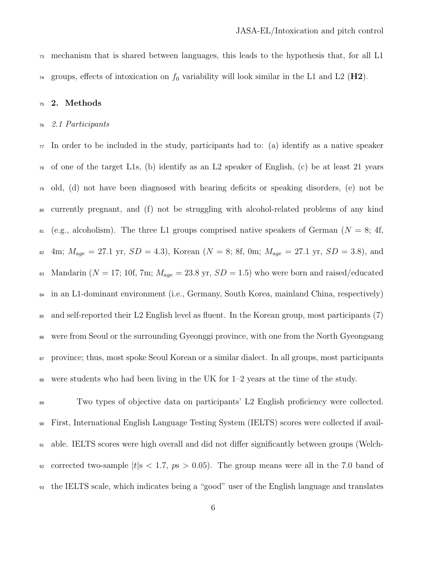mechanism that is shared between languages, this leads to the hypothesis that, for all L1 <sup>74</sup> groups, effects of intoxication on  $f_0$  variability will look similar in the L1 and L2 ( $\textbf{H2}$ ).

# 2. Methods

#### 2.1 Participants

 $\pi$  In order to be included in the study, participants had to: (a) identify as a native speaker  $\tau_8$  of one of the target L1s, (b) identify as an L2 speaker of English, (c) be at least 21 years old, (d) not have been diagnosed with hearing deficits or speaking disorders, (e) not be currently pregnant, and (f) not be struggling with alcohol-related problems of any kind 81 (e.g., alcoholism). The three L1 groups comprised native speakers of German ( $N = 8$ ; 4f, 82 4m;  $M_{age} = 27.1$  yr,  $SD = 4.3$ ), Korean ( $N = 8$ ; 8f, 0m;  $M_{age} = 27.1$  yr,  $SD = 3.8$ ), and 83 Mandarin ( $N = 17$ ; 10f, 7m;  $M_{age} = 23.8$  yr,  $SD = 1.5$ ) who were born and raised/educated in an L1-dominant environment (i.e., Germany, South Korea, mainland China, respectively) and self-reported their L2 English level as fluent. In the Korean group, most participants (7) were from Seoul or the surrounding Gyeonggi province, with one from the North Gyeongsang province; thus, most spoke Seoul Korean or a similar dialect. In all groups, most participants were students who had been living in the UK for  $1-2$  years at the time of the study.

 Two types of objective data on participants' L2 English proficiency were collected. First, International English Language Testing System (IELTS) scores were collected if avail- able. IELTS scores were high overall and did not differ significantly between groups (Welch-92 corrected two-sample  $|t|$ s < 1.7,  $p s > 0.05$ ). The group means were all in the 7.0 band of the IELTS scale, which indicates being a "good" user of the English language and translates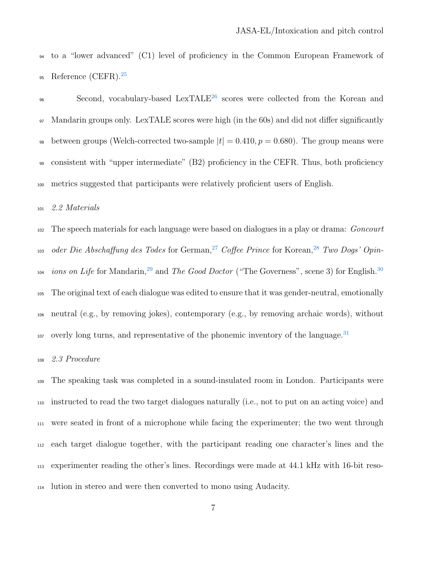to a "lower advanced" (C1) level of proficiency in the Common European Framework of Reference (CEFR).[25](#page-21-2) 

<sup>96</sup> Second, vocabulary-based LexTALE<sup>[26](#page-21-3)</sup> scores were collected from the Korean and Mandarin groups only. LexTALE scores were high (in the 60s) and did not differ significantly 98 between groups (Welch-corrected two-sample  $|t| = 0.410$ ,  $p = 0.680$ ). The group means were consistent with "upper intermediate" (B2) proficiency in the CEFR. Thus, both proficiency metrics suggested that participants were relatively proficient users of English.

### 2.2 Materials

<sup>102</sup> The speech materials for each language were based on dialogues in a play or drama: *Goncourt* <sup>103</sup> oder Die Abschaffung des Todes for German,<sup>[27](#page-21-4)</sup> Coffee Prince for Korean,<sup>[28](#page-21-5)</sup> Two Dogs' Opin-ions on Life for Mandarin,<sup>[29](#page-21-6)</sup> and The Good Doctor ("The Governess", scene 3) for English.<sup>[30](#page-21-7)</sup> The original text of each dialogue was edited to ensure that it was gender-neutral, emotionally neutral (e.g., by removing jokes), contemporary (e.g., by removing archaic words), without overly long turns, and representative of the phonemic inventory of the language.<sup>[31](#page-21-8)</sup> 

# 2.3 Procedure

 The speaking task was completed in a sound-insulated room in London. Participants were instructed to read the two target dialogues naturally (i.e., not to put on an acting voice) and were seated in front of a microphone while facing the experimenter; the two went through each target dialogue together, with the participant reading one character's lines and the experimenter reading the other's lines. Recordings were made at 44.1 kHz with 16-bit reso-lution in stereo and were then converted to mono using Audacity.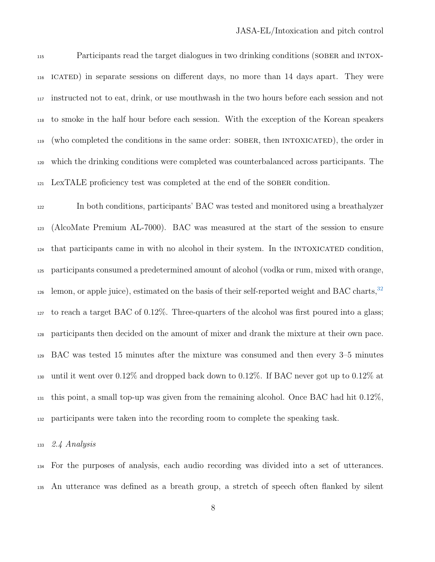Participants read the target dialogues in two drinking conditions (sober and intox- icated) in separate sessions on different days, no more than 14 days apart. They were instructed not to eat, drink, or use mouthwash in the two hours before each session and not to smoke in the half hour before each session. With the exception of the Korean speakers 119 (who completed the conditions in the same order: SOBER, then INTOXICATED), the order in which the drinking conditions were completed was counterbalanced across participants. The LexTALE proficiency test was completed at the end of the sober condition.

 In both conditions, participants' BAC was tested and monitored using a breathalyzer (AlcoMate Premium AL-7000). BAC was measured at the start of the session to ensure that participants came in with no alcohol in their system. In the INTOXICATED condition, participants consumed a predetermined amount of alcohol (vodka or rum, mixed with orange, lemon, or apple juice), estimated on the basis of their self-reported weight and BAC charts, to reach a target BAC of 0.12%. Three-quarters of the alcohol was first poured into a glass; participants then decided on the amount of mixer and drank the mixture at their own pace. BAC was tested 15 minutes after the mixture was consumed and then every 3–5 minutes <sup>130</sup> until it went over  $0.12\%$  and dropped back down to  $0.12\%$ . If BAC never got up to  $0.12\%$  at  $_{131}$  this point, a small top-up was given from the remaining alcohol. Once BAC had hit  $0.12\%$ , participants were taken into the recording room to complete the speaking task.

2.4 Analysis

 For the purposes of analysis, each audio recording was divided into a set of utterances. An utterance was defined as a breath group, a stretch of speech often flanked by silent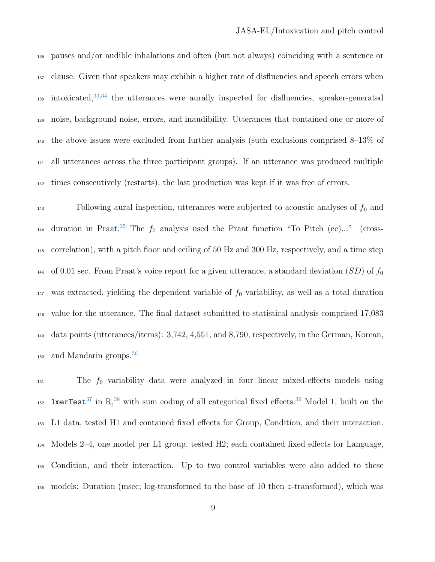pauses and/or audible inhalations and often (but not always) coinciding with a sentence or clause. Given that speakers may exhibit a higher rate of disfluencies and speech errors when  $_{138}$  intoxicated,  $33,34$  $33,34$  the utterances were aurally inspected for disfluencies, speaker-generated noise, background noise, errors, and inaudibility. Utterances that contained one or more of the above issues were excluded from further analysis (such exclusions comprised 8–13% of all utterances across the three participant groups). If an utterance was produced multiple times consecutively (restarts), the last production was kept if it was free of errors.

 $_{143}$  Following aural inspection, utterances were subjected to acoustic analyses of  $f_0$  and <sup>144</sup> duration in Praat.<sup>[35](#page-22-2)</sup> The  $f_0$  analysis used the Praat function "To Pitch (cc)..." (cross- correlation), with a pitch floor and ceiling of 50 Hz and 300 Hz, respectively, and a time step <sup>146</sup> of 0.01 sec. From Praat's voice report for a given utterance, a standard deviation  $(SD)$  of  $f_0$  $_{147}$  was extracted, yielding the dependent variable of  $f_0$  variability, as well as a total duration value for the utterance. The final dataset submitted to statistical analysis comprised 17,083 data points (utterances/items): 3,742, 4,551, and 8,790, respectively, in the German, Korean, and Mandarin groups.[36](#page-22-3) 

 The  $f_0$  variability data were analyzed in four linear mixed-effects models using  $\text{ImerTest}^{37}$  $\text{ImerTest}^{37}$  $\text{ImerTest}^{37}$  in R,<sup>[38](#page-22-5)</sup> with sum coding of all categorical fixed effects.<sup>[39](#page-22-6)</sup> Model 1, built on the L1 data, tested H1 and contained fixed effects for Group, Condition, and their interaction. Models 2–4, one model per L1 group, tested H2; each contained fixed effects for Language, Condition, and their interaction. Up to two control variables were also added to these models: Duration (msec; log-transformed to the base of 10 then z-transformed), which was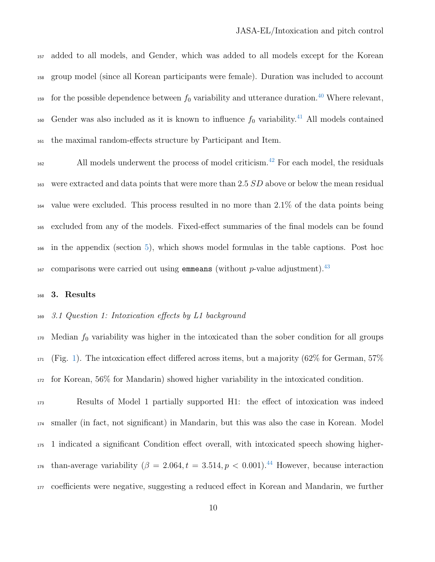added to all models, and Gender, which was added to all models except for the Korean group model (since all Korean participants were female). Duration was included to account <sup>159</sup> for the possible dependence between  $f_0$  variability and utterance duration.<sup>[40](#page-22-7)</sup> Where relevant,  $\epsilon$ <sub>160</sub> Gender was also included as it is known to influence  $f_0$  variability.<sup>[41](#page-23-0)</sup> All models contained the maximal random-effects structure by Participant and Item.

<sup>162</sup> All models underwent the process of model criticism.<sup>[42](#page-23-1)</sup> For each model, the residuals 163 were extracted and data points that were more than 2.5 SD above or below the mean residual value were excluded. This process resulted in no more than 2.1% of the data points being excluded from any of the models. Fixed-effect summaries of the final models can be found in the appendix (section [5\)](#page-14-0), which shows model formulas in the table captions. Post hoc comparisons were carried out using **emmeans** (without *p*-value adjustment).<sup>[43](#page-23-2)</sup> 

# 3. Results

3.1 Question 1: Intoxication effects by L1 background

 Median  $f_0$  variability was higher in the intoxicated than the sober condition for all groups  $_{171}$  (Fig. [1\)](#page-10-0). The intoxication effect differed across items, but a majority (62% for German, 57%) for Korean, 56% for Mandarin) showed higher variability in the intoxicated condition.

 Results of Model 1 partially supported H1: the effect of intoxication was indeed smaller (in fact, not significant) in Mandarin, but this was also the case in Korean. Model 1 indicated a significant Condition effect overall, with intoxicated speech showing higher-<sup>176</sup> than-average variability ( $\beta = 2.064, t = 3.514, p < 0.001$ ).<sup>[44](#page-23-3)</sup> However, because interaction coefficients were negative, suggesting a reduced effect in Korean and Mandarin, we further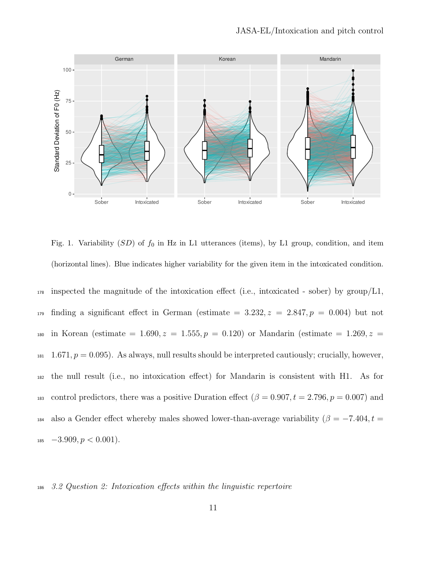

<span id="page-10-0"></span>Fig. 1. Variability  $(SD)$  of  $f_0$  in Hz in L1 utterances (items), by L1 group, condition, and item (horizontal lines). Blue indicates higher variability for the given item in the intoxicated condition.

 $_{178}$  inspected the magnitude of the intoxication effect (i.e., intoxicated - sober) by group/L1, 179 finding a significant effect in German (estimate =  $3.232, z = 2.847, p = 0.004$ ) but not 180 in Korean (estimate = 1.690,  $z = 1.555, p = 0.120$ ) or Mandarin (estimate = 1.269,  $z =$  $1.671, p = 0.095$ . As always, null results should be interpreted cautiously; crucially, however, <sup>182</sup> the null result (i.e., no intoxication effect) for Mandarin is consistent with H1. As for 183 control predictors, there was a positive Duration effect  $(\beta = 0.907, t = 2.796, p = 0.007)$  and 184 also a Gender effect whereby males showed lower-than-average variability ( $\beta = -7.404, t =$  $_{185}$   $-3.909, p < 0.001$ ).

#### <sup>186</sup> 3.2 Question 2: Intoxication effects within the linguistic repertoire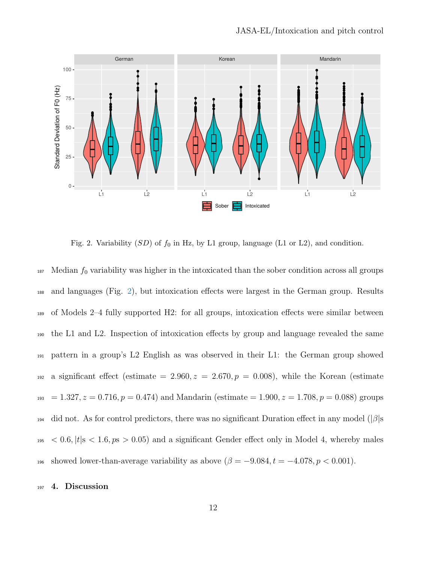

<span id="page-11-0"></span>Fig. 2. Variability  $(SD)$  of  $f_0$  in Hz, by L1 group, language (L1 or L2), and condition.

 $187$  Median  $f_0$  variability was higher in the intoxicated than the sober condition across all groups <sup>188</sup> and languages (Fig. [2\)](#page-11-0), but intoxication effects were largest in the German group. Results <sup>189</sup> of Models 2–4 fully supported H2: for all groups, intoxication effects were similar between <sup>190</sup> the L1 and L2. Inspection of intoxication effects by group and language revealed the same <sup>191</sup> pattern in a group's L2 English as was observed in their L1: the German group showed 192 a significant effect (estimate = 2.960,  $z = 2.670, p = 0.008$ ), while the Korean (estimate  $193 = 1.327, z = 0.716, p = 0.474$  and Mandarin (estimate  $= 1.900, z = 1.708, p = 0.088$ ) groups  $_{194}$  did not. As for control predictors, there was no significant Duration effect in any model ( $|\beta|$ s  $195 < 0.6$ ,  $|t|$ s  $< 1.6$ ,  $p s > 0.05$ ) and a significant Gender effect only in Model 4, whereby males 196 showed lower-than-average variability as above  $(\beta = -9.084, t = -4.078, p < 0.001)$ .

#### <sup>197</sup> 4. Discussion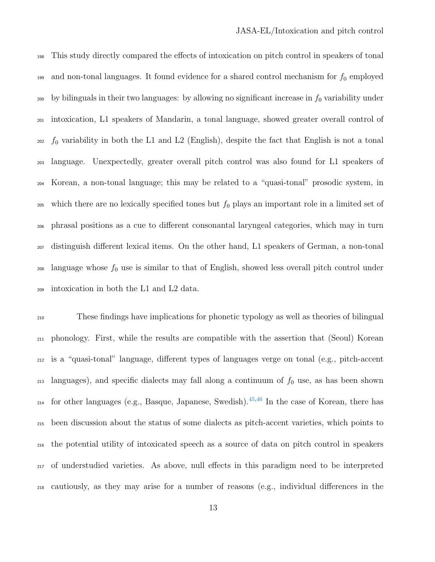This study directly compared the effects of intoxication on pitch control in speakers of tonal 199 and non-tonal languages. It found evidence for a shared control mechanism for  $f_0$  employed 200 by bilinguals in their two languages: by allowing no significant increase in  $f_0$  variability under intoxication, L1 speakers of Mandarin, a tonal language, showed greater overall control of  $_{202}$  f<sub>0</sub> variability in both the L1 and L2 (English), despite the fact that English is not a tonal language. Unexpectedly, greater overall pitch control was also found for L1 speakers of Korean, a non-tonal language; this may be related to a "quasi-tonal" prosodic system, in 205 which there are no lexically specified tones but  $f_0$  plays an important role in a limited set of phrasal positions as a cue to different consonantal laryngeal categories, which may in turn distinguish different lexical items. On the other hand, L1 speakers of German, a non-tonal language whose  $f_0$  use is similar to that of English, showed less overall pitch control under intoxication in both the L1 and L2 data.

 These findings have implications for phonetic typology as well as theories of bilingual phonology. First, while the results are compatible with the assertion that (Seoul) Korean is a "quasi-tonal" language, different types of languages verge on tonal (e.g., pitch-accent languages), and specific dialects may fall along a continuum of  $f_0$  use, as has been shown  $_{214}$  for other languages (e.g., Basque, Japanese, Swedish).<sup>[45,](#page-23-4)[46](#page-23-5)</sup> In the case of Korean, there has been discussion about the status of some dialects as pitch-accent varieties, which points to the potential utility of intoxicated speech as a source of data on pitch control in speakers of understudied varieties. As above, null effects in this paradigm need to be interpreted cautiously, as they may arise for a number of reasons (e.g., individual differences in the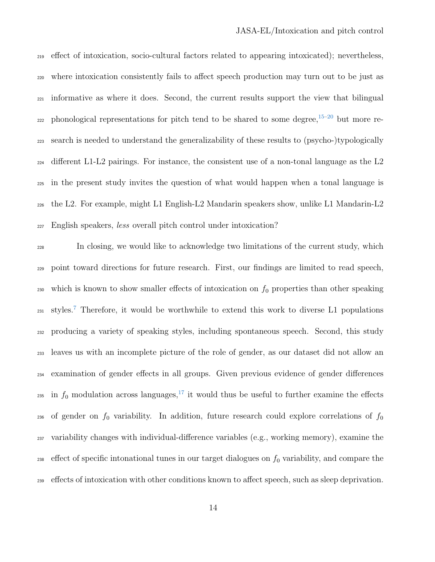effect of intoxication, socio-cultural factors related to appearing intoxicated); nevertheless, where intoxication consistently fails to affect speech production may turn out to be just as informative as where it does. Second, the current results support the view that bilingual  $_{222}$  phonological representations for pitch tend to be shared to some degree,  $15-20$  $15-20$  but more re- search is needed to understand the generalizability of these results to (psycho-)typologically different L1-L2 pairings. For instance, the consistent use of a non-tonal language as the L2 in the present study invites the question of what would happen when a tonal language is the L2. For example, might L1 English-L2 Mandarin speakers show, unlike L1 Mandarin-L2 English speakers, less overall pitch control under intoxication?

 In closing, we would like to acknowledge two limitations of the current study, which point toward directions for future research. First, our findings are limited to read speech, 230 which is known to show smaller effects of intoxication on  $f_0$  properties than other speaking  $_{231}$  styles.<sup>[7](#page-18-5)</sup> Therefore, it would be worthwhile to extend this work to diverse L1 populations producing a variety of speaking styles, including spontaneous speech. Second, this study leaves us with an incomplete picture of the role of gender, as our dataset did not allow an examination of gender effects in all groups. Given previous evidence of gender differences <sup>235</sup> in  $f_0$  modulation across languages,<sup>[17](#page-20-2)</sup> it would thus be useful to further examine the effects 236 of gender on  $f_0$  variability. In addition, future research could explore correlations of  $f_0$  variability changes with individual-difference variables (e.g., working memory), examine the 238 effect of specific intonational tunes in our target dialogues on  $f_0$  variability, and compare the effects of intoxication with other conditions known to affect speech, such as sleep deprivation.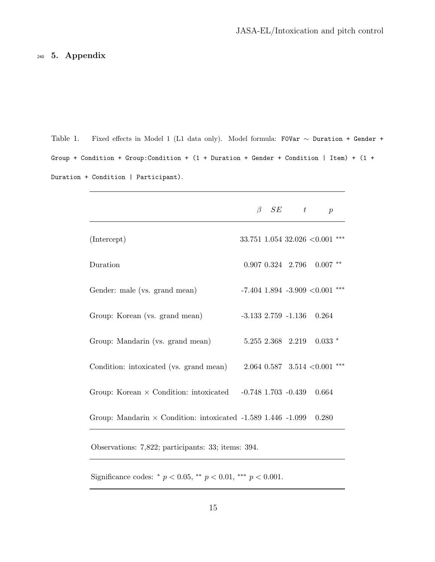# <span id="page-14-0"></span><sup>240</sup> 5. Appendix

Table 1. Fixed effects in Model 1 (L1 data only). Model formula: F0Var ∼ Duration + Gender + Group + Condition + Group:Condition + (1 + Duration + Gender + Condition | Item) + (1 + Duration + Condition | Participant).

|                                                                       | $\beta$ | SE | t                 | $\mathcal{p}$                               |
|-----------------------------------------------------------------------|---------|----|-------------------|---------------------------------------------|
| (Intercept)                                                           |         |    |                   | ***<br>33.751 1.054 32.026 $< 0.001$        |
| Duration                                                              |         |    |                   | $0.907$ $0.324$ $2.796$ $0.007$ **          |
| Gender: male (vs. grand mean)                                         |         |    |                   | -7.404 1.894 -3.909 <<br>0.001 $\mbox{***}$ |
| Group: Korean (vs. grand mean)                                        |         |    |                   | $-3.133$ 2.759 $-1.136$ 0.264               |
| Group: Mandarin (vs. grand mean)                                      |         |    | 5.255 2.368 2.219 | $0.033$ *                                   |
| Condition: intoxicated (vs. grand mean)                               |         |    |                   | $2.064$ 0.587 3.514 < 0.001 ***             |
| Group: Korean $\times$ Condition: intoxicated $-0.748$ 1.703 $-0.439$ |         |    |                   | 0.664                                       |
| Group: Mandarin $\times$ Condition: intoxicated -1.589 1.446 -1.099   |         |    |                   | 0.280                                       |
| Observations: 7,822; participants: 33; items: 394.                    |         |    |                   |                                             |

Significance codes:  $* p < 0.05$ ,  $** p < 0.01$ ,  $*** p < 0.001$ .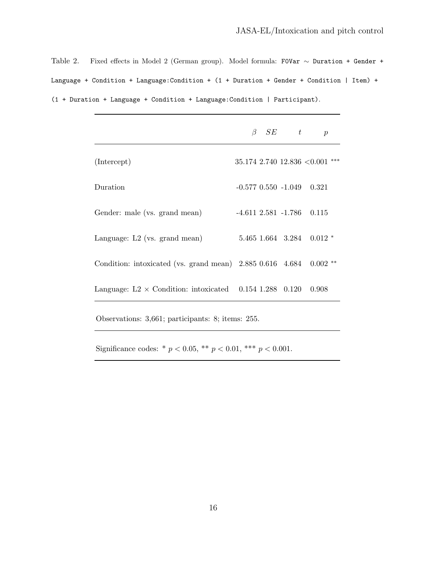Table 2. Fixed effects in Model 2 (German group). Model formula: F0Var ∼ Duration + Gender + Language + Condition + Language:Condition + (1 + Duration + Gender + Condition | Item) + (1 + Duration + Language + Condition + Language:Condition | Participant).

|                                                                | B | SE | $t_{\rm}$                 | $\mathfrak{p}$                         |
|----------------------------------------------------------------|---|----|---------------------------|----------------------------------------|
| (Intercept)                                                    |   |    |                           | $***$<br>$35.174$ 2.740 12.836 < 0.001 |
| Duration                                                       |   |    | $-0.577$ $0.550$ $-1.049$ | 0.321                                  |
| Gender: male (vs. grand mean)                                  |   |    | $-4.611$ $2.581$ $-1.786$ | 0.115                                  |
| Language: $L2$ (vs. grand mean)                                |   |    | 5.465 1.664 3.284         | $0.012$ *                              |
| Condition: intoxicated (vs. grand mean) $2.885$ 0.616 $4.684$  |   |    |                           | $0.002$ **                             |
| Language: $L2 \times$ Condition: intoxicated 0.154 1.288 0.120 |   |    |                           | 0.908                                  |

Observations: 3,661; participants: 8; items: 255.

Significance codes: \*  $p < 0.05$ , \*\*  $p < 0.01$ , \*\*\*  $p < 0.001$ .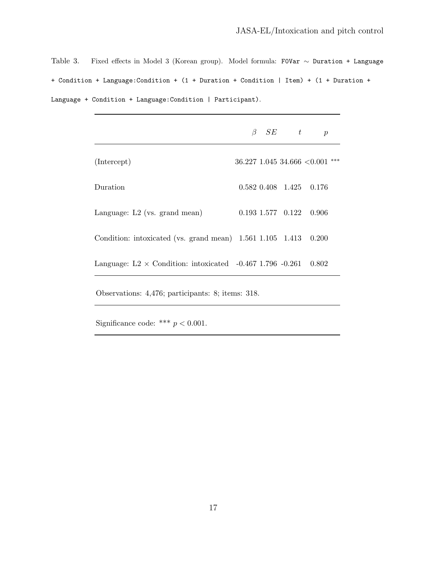Table 3. Fixed effects in Model 3 (Korean group). Model formula: F0Var ∼ Duration + Language + Condition + Language:Condition + (1 + Duration + Condition | Item) + (1 + Duration + Language + Condition + Language:Condition | Participant).

|  | t | $\boldsymbol{p}$ |                                                                                                                                                                                                                                    |
|--|---|------------------|------------------------------------------------------------------------------------------------------------------------------------------------------------------------------------------------------------------------------------|
|  |   |                  | $***$                                                                                                                                                                                                                              |
|  |   |                  |                                                                                                                                                                                                                                    |
|  |   | 0.906            |                                                                                                                                                                                                                                    |
|  |   | 0.200            |                                                                                                                                                                                                                                    |
|  |   | 0.802            |                                                                                                                                                                                                                                    |
|  |   | $\beta$ SE       | $36.227$ 1.045 34.666 $< 0.001$<br>$0.582$ $0.408$ $1.425$ $0.176$<br>$0.193$ 1.577 $0.122$<br>Condition: intoxicated (vs. grand mean) $1.561$ $1.105$ $1.413$<br>Language: $L2 \times$ Condition: intoxicated -0.467 1.796 -0.261 |

Observations: 4,476; participants: 8; items: 318.

Significance code: \*\*\*  $p < 0.001$ .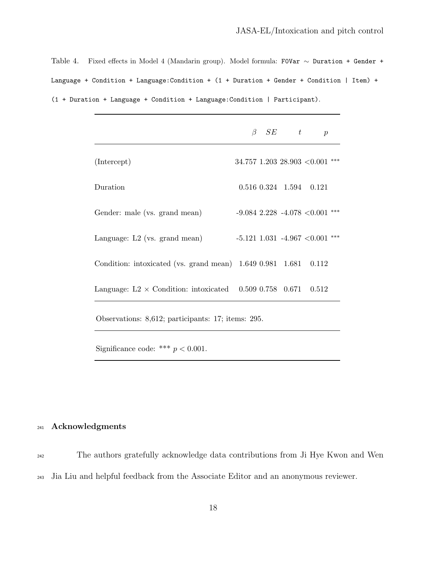Table 4. Fixed effects in Model 4 (Mandarin group). Model formula: F0Var ∼ Duration + Gender + Language + Condition + Language:Condition + (1 + Duration + Gender + Condition | Item) + (1 + Duration + Language + Condition + Language:Condition | Participant).

|                                                                      | $\beta$ SE | t | $\boldsymbol{p}$                       |
|----------------------------------------------------------------------|------------|---|----------------------------------------|
| (Intercept)                                                          |            |   | $34.757$ 1.203 28.903 < 0.001          |
| Duration                                                             |            |   | $0.516$ $0.324$ $1.594$ $0.121$        |
| Gender: male (vs. grand mean)                                        |            |   | $-9.084$ 2.228 $-4.078$ < 0.001<br>*** |
| Language: $L2$ (vs. grand mean)                                      |            |   | ***<br>$-5.121$ 1.031 $-4.967$ <0.001  |
| Condition: intoxicated (vs. grand mean) $1.649$ 0.981 $1.681$        |            |   | 0.112                                  |
| Language: L2 $\times$ Condition: intoxicated 0.509 0.758 0.671 0.512 |            |   |                                        |

Observations: 8,612; participants: 17; items: 295.

Significance code: \*\*\*  $p < 0.001$ .

# <sup>241</sup> Acknowledgments

<sup>242</sup> The authors gratefully acknowledge data contributions from Ji Hye Kwon and Wen <sup>243</sup> Jia Liu and helpful feedback from the Associate Editor and an anonymous reviewer.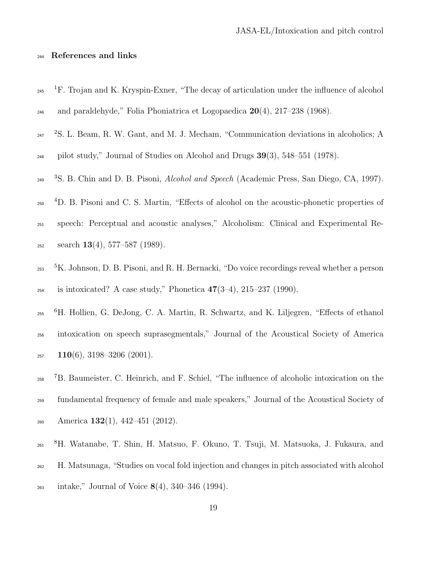# <sup>244</sup> References and links

- <span id="page-18-0"></span><sup>245</sup> <sup>1</sup>F. Trojan and K. Kryspin-Exner, "The decay of articulation under the influence of alcohol 246 and paraldehyde," Folia Phoniatrica et Logopaedica  $20(4)$ ,  $217-238$  (1968).
- $247$  <sup>2</sup>S. L. Beam, R. W. Gant, and M. J. Mecham, "Communication deviations in alcoholics; A

<span id="page-18-1"></span> $_{248}$  pilot study," Journal of Studies on Alcohol and Drugs  $39(3)$ , 548–551 (1978).

- <span id="page-18-2"></span><sup>3</sup>S. B. Chin and D. B. Pisoni, *Alcohol and Speech* (Academic Press, San Diego, CA, 1997).
- 250 <sup>4</sup>D. B. Pisoni and C. S. Martin, "Effects of alcohol on the acoustic-phonetic properties of
- <sup>251</sup> speech: Perceptual and acoustic analyses," Alcoholism: Clinical and Experimental Re- $_{252}$  search 13(4), 577–587 (1989).
- <span id="page-18-3"></span>253 <sup>5</sup>K. Johnson, D. B. Pisoni, and R. H. Bernacki, "Do voice recordings reveal whether a person <sup>254</sup> is intoxicated? A case study," Phonetica  $47(3-4)$ ,  $215-237$  (1990).
- <span id="page-18-4"></span>255 <sup>6</sup>H. Hollien, G. DeJong, C. A. Martin, R. Schwartz, and K. Liljegren, "Effects of ethanol <sup>256</sup> intoxication on speech suprasegmentals," Journal of the Acoustical Society of America  $257$  110(6), 3198-3206 (2001).
- <span id="page-18-5"></span><sup>7</sup>B. Baumeister, C. Heinrich, and F. Schiel, "The influence of alcoholic intoxication on the <sup>259</sup> fundamental frequency of female and male speakers," Journal of the Acoustical Society of 260 America 132(1), 442–451 (2012).
- <span id="page-18-6"></span>261 <sup>8</sup>H. Watanabe, T. Shin, H. Matsuo, F. Okuno, T. Tsuji, M. Matsuoka, J. Fukaura, and
- <sup>262</sup> H. Matsunaga, "Studies on vocal fold injection and changes in pitch associated with alcohol
- $_{263}$  intake," Journal of Voice  $8(4)$ , 340–346 (1994).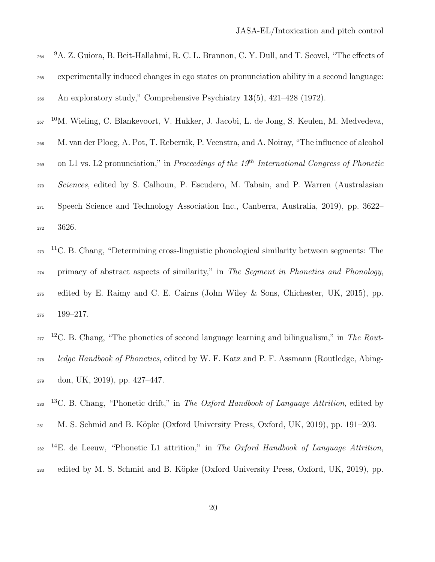<span id="page-19-1"></span><span id="page-19-0"></span>

| 264 | <sup>9</sup> A. Z. Guiora, B. Beit-Hallahmi, R. C. L. Brannon, C. Y. Dull, and T. Scovel, "The effects of |
|-----|-----------------------------------------------------------------------------------------------------------|
| 265 | experimentally induced changes in ego states on pronunciation ability in a second language:               |
| 266 | An exploratory study," Comprehensive Psychiatry $13(5)$ , $421-428$ (1972).                               |
| 267 | <sup>10</sup> M. Wieling, C. Blankevoort, V. Hukker, J. Jacobi, L. de Jong, S. Keulen, M. Medvedeva,      |
| 268 | M. van der Ploeg, A. Pot, T. Rebernik, P. Veenstra, and A. Noiray, "The influence of alcohol              |
| 269 | on L1 vs. L2 pronunciation," in Proceedings of the $19^{th}$ International Congress of Phonetic           |
| 270 | Sciences, edited by S. Calhoun, P. Escudero, M. Tabain, and P. Warren (Australasian                       |
| 271 | Speech Science and Technology Association Inc., Canberra, Australia, 2019), pp. 3622–                     |
| 272 | 3626.                                                                                                     |
|     |                                                                                                           |

<span id="page-19-2"></span> $_{273}$  <sup>11</sup>C. B. Chang, "Determining cross-linguistic phonological similarity between segments: The <sup>274</sup> primacy of abstract aspects of similarity," in The Segment in Phonetics and Phonology, <sup>275</sup> edited by E. Raimy and C. E. Cairns (John Wiley & Sons, Chichester, UK, 2015), pp. <sup>276</sup> 199–217.

- $_{277}$ <sup>12</sup>C. B. Chang, "The phonetics of second language learning and bilingualism," in The Rout-<sup>278</sup> ledge Handbook of Phonetics, edited by W. F. Katz and P. F. Assmann (Routledge, Abing-<sup>279</sup> don, UK, 2019), pp. 427–447.
- <sup>13</sup>C. B. Chang, "Phonetic drift," in The Oxford Handbook of Language Attrition, edited by
- <span id="page-19-3"></span><sup>281</sup> M. S. Schmid and B. K¨opke (Oxford University Press, Oxford, UK, 2019), pp. 191–203.
- <sup>282</sup> <sup>14</sup>E. de Leeuw, "Phonetic L1 attrition," in The Oxford Handbook of Language Attrition, <sup>283</sup> edited by M. S. Schmid and B. Köpke (Oxford University Press, Oxford, UK, 2019), pp.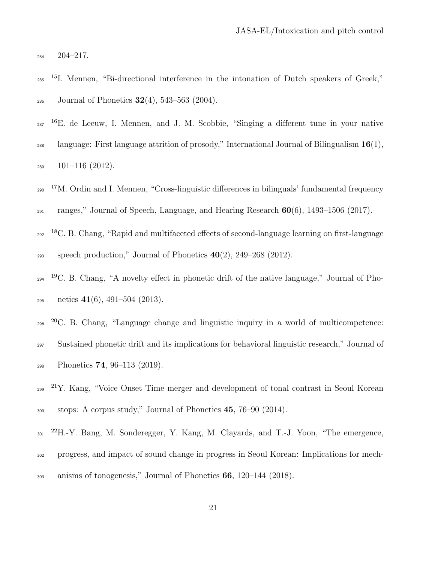<span id="page-20-0"></span><sup>284</sup> 204–217.

- 15 <sup>285</sup> I. Mennen, "Bi-directional interference in the intonation of Dutch speakers of Greek," 286 Journal of Phonetics  $32(4)$ , 543-563 (2004).
- <span id="page-20-1"></span><sup>16</sup>E. de Leeuw, I. Mennen, and J. M. Scobbie, "Singing a different tune in your native
- <sup>288</sup> language: First language attrition of prosody," International Journal of Bilingualism  $16(1)$ ,  $289 \quad 101-116 \ (2012).$
- <span id="page-20-2"></span> $290$ <sup>17</sup>M. Ordin and I. Mennen, "Cross-linguistic differences in bilinguals' fundamental frequency  $_{291}$  ranges," Journal of Speech, Language, and Hearing Research  $60(6)$ , 1493–1506 (2017).
- <span id="page-20-3"></span><sup>18</sup>C. B. Chang, "Rapid and multifaceted effects of second-language learning on first-language 293 speech production," Journal of Phonetics  $40(2)$ ,  $249-268$  (2012).
- <sup>19</sup>C. B. Chang, "A novelty effect in phonetic drift of the native language," Journal of Pho- $_{295}$  netics  $41(6)$ ,  $491-504(2013)$ .
- <span id="page-20-4"></span> $296$   $20$  C. B. Chang, "Language change and linguistic inquiry in a world of multicompetence: <sup>297</sup> Sustained phonetic drift and its implications for behavioral linguistic research," Journal of  $P_{298}$  Phonetics **74**, 96–113 (2019).
- <span id="page-20-5"></span>299 <sup>21</sup>Y. Kang, "Voice Onset Time merger and development of tonal contrast in Seoul Korean <sup>300</sup> stops: A corpus study," Journal of Phonetics 45, 76–90 (2014).
- <span id="page-20-6"></span>301  $^{22}$ H.-Y. Bang, M. Sonderegger, Y. Kang, M. Clayards, and T.-J. Yoon, "The emergence, <sup>302</sup> progress, and impact of sound change in progress in Seoul Korean: Implications for mech-<sup>303</sup> anisms of tonogenesis," Journal of Phonetics 66, 120–144 (2018).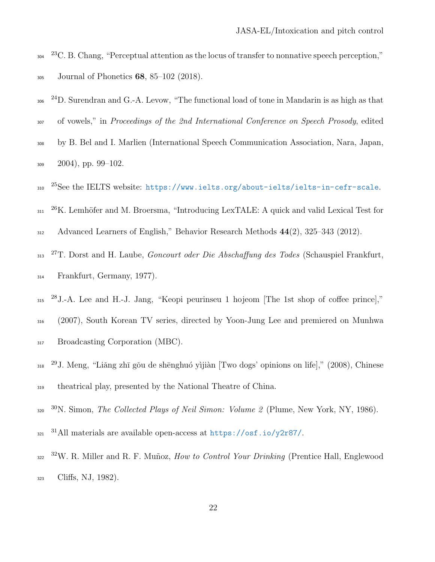- <span id="page-21-0"></span> $2304$   $23$ C. B. Chang, "Perceptual attention as the locus of transfer to nonnative speech perception,"  $_{305}$  Journal of Phonetics 68, 85–102 (2018).
- <span id="page-21-1"></span>306  $^{24}$ D. Surendran and G.-A. Levow, "The functional load of tone in Mandarin is as high as that
- 307 of vowels," in Proceedings of the 2nd International Conference on Speech Prosody, edited
- <sup>308</sup> by B. Bel and I. Marlien (International Speech Communication Association, Nara, Japan,  $309 - 2004$ , pp. 99-102.
- <span id="page-21-3"></span><span id="page-21-2"></span>310 <sup>25</sup>See the IELTS website: <https://www.ielts.org/about-ielts/ielts-in-cefr-scale>.
- 311  $26$ K. Lemhöfer and M. Broersma, "Introducing LexTALE: A quick and valid Lexical Test for
- <span id="page-21-4"></span><sup>312</sup> Advanced Learners of English," Behavior Research Methods 44(2), 325–343 (2012).
- $_{213}$   $^{27}$ T. Dorst and H. Laube, *Goncourt oder Die Abschaffung des Todes* (Schauspiel Frankfurt, <sup>314</sup> Frankfurt, Germany, 1977).
- <span id="page-21-5"></span><sup>28</sup> J.-A. Lee and H.-J. Jang, "Keopi peurinseu 1 hojeom [The 1st shop of coffee prince]," <sup>316</sup> (2007), South Korean TV series, directed by Yoon-Jung Lee and premiered on Munhwa 317 Broadcasting Corporation (MBC).
- <span id="page-21-6"></span><sup>29</sup> J. Meng, "Liǎng zhī gǒu de shēnghuó yìjiàn [Two dogs' opinions on life]," (2008), Chinese <sup>319</sup> theatrical play, presented by the National Theatre of China.
- <span id="page-21-8"></span><span id="page-21-7"></span>320  $30$ N. Simon, *The Collected Plays of Neil Simon: Volume 2* (Plume, New York, NY, 1986).
- <span id="page-21-9"></span>321  $31$ All materials are available open-access at <https://osf.io/y2r87/>.
- 322  $32W$ . R. Miller and R. F. Muñoz, *How to Control Your Drinking* (Prentice Hall, Englewood <sup>323</sup> Cliffs, NJ, 1982).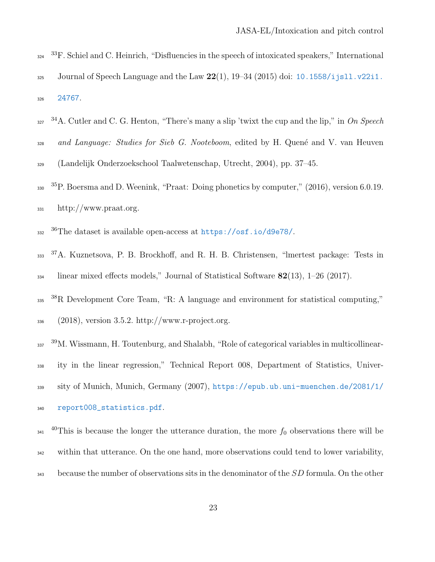- <span id="page-22-0"></span> $334$   $33$  F. Schiel and C. Heinrich, "Disfluencies in the speech of intoxicated speakers," International 325 Journal of Speech Language and the Law  $22(1)$ ,  $19-34(2015)$  doi:  $10.1558/j$  jsll.v22i1. <sup>326</sup> [24767](https://doi.org/10.1558/ijsll.v22i1.24767).
- <span id="page-22-1"></span>327 <sup>34</sup>A. Cutler and C. G. Henton, "There's many a slip 'twixt the cup and the lip," in On Speech 328 and Language: Studies for Sieb G. Nooteboom, edited by H. Quené and V. van Heuven <sup>329</sup> (Landelijk Onderzoekschool Taalwetenschap, Utrecht, 2004), pp. 37–45.
- <span id="page-22-2"></span> $330<sup>35</sup>P$ . Boersma and D. Weenink, "Praat: Doing phonetics by computer," (2016), version 6.0.19.  $\frac{331}{2}$  http://www.praat.org.
- <span id="page-22-4"></span><span id="page-22-3"></span>36 <sup>332</sup> The dataset is available open-access at <https://osf.io/d9e78/>.
- 333 <sup>37</sup>A. Kuznetsova, P. B. Brockhoff, and R. H. B. Christensen, "lmertest package: Tests in  $\frac{334}{100}$  linear mixed effects models," Journal of Statistical Software 82(13), 1–26 (2017).
- <span id="page-22-5"></span><sup>38</sup>R Development Core Team, "R: A language and environment for statistical computing,"  $336$  (2018), version 3.5.2. http://www.r-project.org.
- <span id="page-22-6"></span>337 <sup>39</sup>M. Wissmann, H. Toutenburg, and Shalabh, "Role of categorical variables in multicollinear-
- <sup>338</sup> ity in the linear regression," Technical Report 008, Department of Statistics, Univer-
- <sup>339</sup> sity of Munich, Munich, Germany (2007), [https://epub.ub.uni-muenchen.de/2081/1/](http://https://epub.ub.uni-muenchen.de/2081/1/report008_statistics.pdf) <sup>340</sup> [report008\\_statistics.pdf](http://https://epub.ub.uni-muenchen.de/2081/1/report008_statistics.pdf).
- <span id="page-22-7"></span><sup>40</sup>This is because the longer the utterance duration, the more  $f_0$  observations there will be
- <sup>342</sup> within that utterance. On the one hand, more observations could tend to lower variability,
- 343 because the number of observations sits in the denominator of the  $SD$  formula. On the other